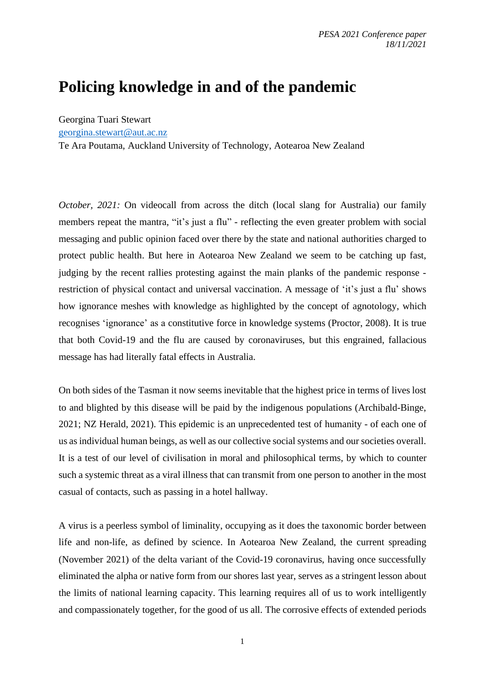## **Policing knowledge in and of the pandemic**

Georgina Tuari Stewart

[georgina.stewart@aut.ac.nz](mailto:georgina.stewart@aut.ac.nz)

Te Ara Poutama, Auckland University of Technology, Aotearoa New Zealand

*October, 2021:* On videocall from across the ditch (local slang for Australia) our family members repeat the mantra, "it's just a flu" - reflecting the even greater problem with social messaging and public opinion faced over there by the state and national authorities charged to protect public health. But here in Aotearoa New Zealand we seem to be catching up fast, judging by the recent rallies protesting against the main planks of the pandemic response restriction of physical contact and universal vaccination. A message of 'it's just a flu' shows how ignorance meshes with knowledge as highlighted by the concept of agnotology, which recognises 'ignorance' as a constitutive force in knowledge systems (Proctor, 2008). It is true that both Covid-19 and the flu are caused by coronaviruses, but this engrained, fallacious message has had literally fatal effects in Australia.

On both sides of the Tasman it now seems inevitable that the highest price in terms of lives lost to and blighted by this disease will be paid by the indigenous populations (Archibald-Binge, 2021; NZ Herald, 2021). This epidemic is an unprecedented test of humanity - of each one of us as individual human beings, as well as our collective social systems and our societies overall. It is a test of our level of civilisation in moral and philosophical terms, by which to counter such a systemic threat as a viral illness that can transmit from one person to another in the most casual of contacts, such as passing in a hotel hallway.

A virus is a peerless symbol of liminality, occupying as it does the taxonomic border between life and non-life, as defined by science. In Aotearoa New Zealand, the current spreading (November 2021) of the delta variant of the Covid-19 coronavirus, having once successfully eliminated the alpha or native form from our shores last year, serves as a stringent lesson about the limits of national learning capacity. This learning requires all of us to work intelligently and compassionately together, for the good of us all. The corrosive effects of extended periods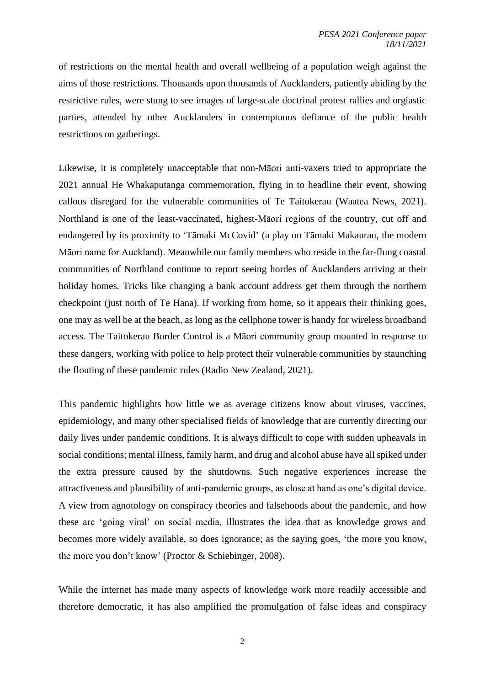of restrictions on the mental health and overall wellbeing of a population weigh against the aims of those restrictions. Thousands upon thousands of Aucklanders, patiently abiding by the restrictive rules, were stung to see images of large-scale doctrinal protest rallies and orgiastic parties, attended by other Aucklanders in contemptuous defiance of the public health restrictions on gatherings.

Likewise, it is completely unacceptable that non-Māori anti-vaxers tried to appropriate the 2021 annual He Whakaputanga commemoration, flying in to headline their event, showing callous disregard for the vulnerable communities of Te Taitokerau (Waatea News, 2021). Northland is one of the least-vaccinated, highest-Māori regions of the country, cut off and endangered by its proximity to 'Tāmaki McCovid' (a play on Tāmaki Makaurau, the modern Māori name for Auckland). Meanwhile our family members who reside in the far-flung coastal communities of Northland continue to report seeing hordes of Aucklanders arriving at their holiday homes. Tricks like changing a bank account address get them through the northern checkpoint (just north of Te Hana). If working from home, so it appears their thinking goes, one may as well be at the beach, as long as the cellphone tower is handy for wireless broadband access. The Taitokerau Border Control is a Māori community group mounted in response to these dangers, working with police to help protect their vulnerable communities by staunching the flouting of these pandemic rules (Radio New Zealand, 2021).

This pandemic highlights how little we as average citizens know about viruses, vaccines, epidemiology, and many other specialised fields of knowledge that are currently directing our daily lives under pandemic conditions. It is always difficult to cope with sudden upheavals in social conditions; mental illness, family harm, and drug and alcohol abuse have all spiked under the extra pressure caused by the shutdowns. Such negative experiences increase the attractiveness and plausibility of anti-pandemic groups, as close at hand as one's digital device. A view from agnotology on conspiracy theories and falsehoods about the pandemic, and how these are 'going viral' on social media, illustrates the idea that as knowledge grows and becomes more widely available, so does ignorance; as the saying goes, 'the more you know, the more you don't know' (Proctor & Schiebinger, 2008).

While the internet has made many aspects of knowledge work more readily accessible and therefore democratic, it has also amplified the promulgation of false ideas and conspiracy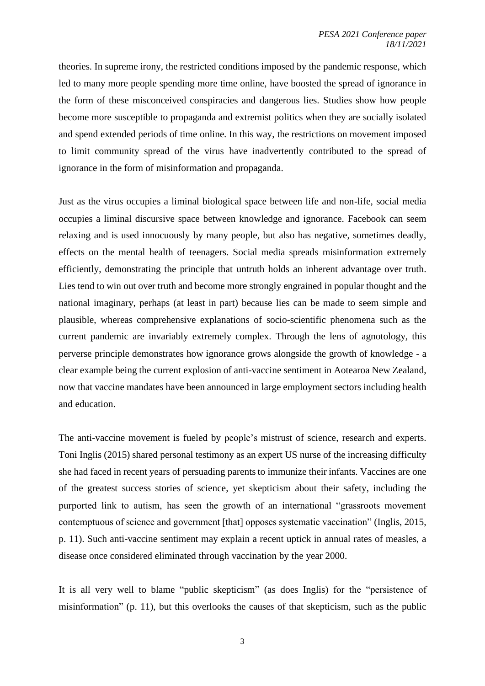theories. In supreme irony, the restricted conditions imposed by the pandemic response, which led to many more people spending more time online, have boosted the spread of ignorance in the form of these misconceived conspiracies and dangerous lies. Studies show how people become more susceptible to propaganda and extremist politics when they are socially isolated and spend extended periods of time online. In this way, the restrictions on movement imposed to limit community spread of the virus have inadvertently contributed to the spread of ignorance in the form of misinformation and propaganda.

Just as the virus occupies a liminal biological space between life and non-life, social media occupies a liminal discursive space between knowledge and ignorance. Facebook can seem relaxing and is used innocuously by many people, but also has negative, sometimes deadly, effects on the mental health of teenagers. Social media spreads misinformation extremely efficiently, demonstrating the principle that untruth holds an inherent advantage over truth. Lies tend to win out over truth and become more strongly engrained in popular thought and the national imaginary, perhaps (at least in part) because lies can be made to seem simple and plausible, whereas comprehensive explanations of socio-scientific phenomena such as the current pandemic are invariably extremely complex. Through the lens of agnotology, this perverse principle demonstrates how ignorance grows alongside the growth of knowledge - a clear example being the current explosion of anti-vaccine sentiment in Aotearoa New Zealand, now that vaccine mandates have been announced in large employment sectors including health and education.

The anti-vaccine movement is fueled by people's mistrust of science, research and experts. Toni Inglis (2015) shared personal testimony as an expert US nurse of the increasing difficulty she had faced in recent years of persuading parents to immunize their infants. Vaccines are one of the greatest success stories of science, yet skepticism about their safety, including the purported link to autism, has seen the growth of an international "grassroots movement contemptuous of science and government [that] opposes systematic vaccination" (Inglis, 2015, p. 11). Such anti-vaccine sentiment may explain a recent uptick in annual rates of measles, a disease once considered eliminated through vaccination by the year 2000.

It is all very well to blame "public skepticism" (as does Inglis) for the "persistence of misinformation" (p. 11), but this overlooks the causes of that skepticism, such as the public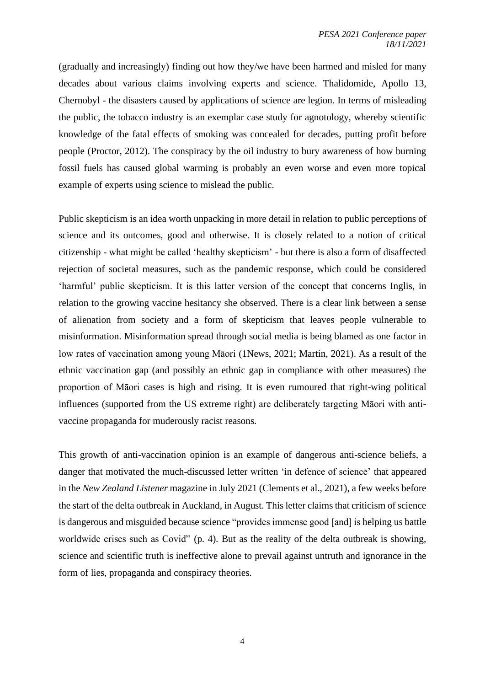(gradually and increasingly) finding out how they/we have been harmed and misled for many decades about various claims involving experts and science. Thalidomide, Apollo 13, Chernobyl - the disasters caused by applications of science are legion. In terms of misleading the public, the tobacco industry is an exemplar case study for agnotology, whereby scientific knowledge of the fatal effects of smoking was concealed for decades, putting profit before people (Proctor, 2012). The conspiracy by the oil industry to bury awareness of how burning fossil fuels has caused global warming is probably an even worse and even more topical example of experts using science to mislead the public.

Public skepticism is an idea worth unpacking in more detail in relation to public perceptions of science and its outcomes, good and otherwise. It is closely related to a notion of critical citizenship - what might be called 'healthy skepticism' - but there is also a form of disaffected rejection of societal measures, such as the pandemic response, which could be considered 'harmful' public skepticism. It is this latter version of the concept that concerns Inglis, in relation to the growing vaccine hesitancy she observed. There is a clear link between a sense of alienation from society and a form of skepticism that leaves people vulnerable to misinformation. Misinformation spread through social media is being blamed as one factor in low rates of vaccination among young Māori (1News, 2021; Martin, 2021). As a result of the ethnic vaccination gap (and possibly an ethnic gap in compliance with other measures) the proportion of Māori cases is high and rising. It is even rumoured that right-wing political influences (supported from the US extreme right) are deliberately targeting Māori with antivaccine propaganda for muderously racist reasons.

This growth of anti-vaccination opinion is an example of dangerous anti-science beliefs, a danger that motivated the much-discussed letter written 'in defence of science' that appeared in the *New Zealand Listener* magazine in July 2021 (Clements et al., 2021), a few weeks before the start of the delta outbreak in Auckland, in August. This letter claims that criticism of science is dangerous and misguided because science "provides immense good [and] is helping us battle worldwide crises such as Covid" (p. 4). But as the reality of the delta outbreak is showing, science and scientific truth is ineffective alone to prevail against untruth and ignorance in the form of lies, propaganda and conspiracy theories.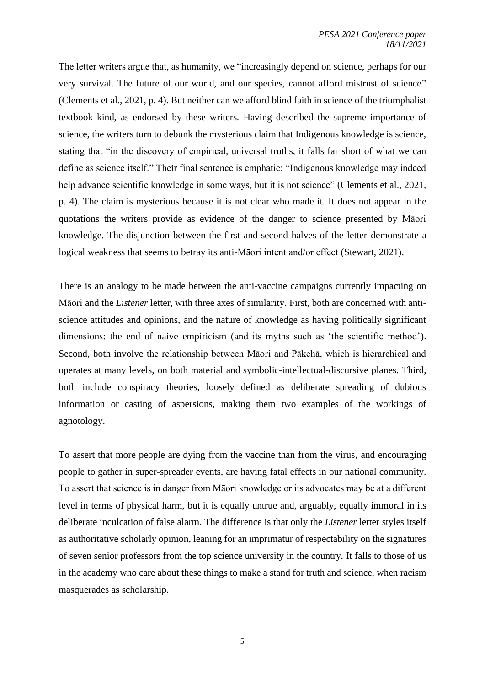The letter writers argue that, as humanity, we "increasingly depend on science, perhaps for our very survival. The future of our world, and our species, cannot afford mistrust of science" (Clements et al., 2021, p. 4). But neither can we afford blind faith in science of the triumphalist textbook kind, as endorsed by these writers. Having described the supreme importance of science, the writers turn to debunk the mysterious claim that Indigenous knowledge is science, stating that "in the discovery of empirical, universal truths, it falls far short of what we can define as science itself." Their final sentence is emphatic: "Indigenous knowledge may indeed help advance scientific knowledge in some ways, but it is not science" (Clements et al., 2021, p. 4). The claim is mysterious because it is not clear who made it. It does not appear in the quotations the writers provide as evidence of the danger to science presented by Māori knowledge. The disjunction between the first and second halves of the letter demonstrate a logical weakness that seems to betray its anti-Māori intent and/or effect (Stewart, 2021).

There is an analogy to be made between the anti-vaccine campaigns currently impacting on Māori and the *Listener* letter, with three axes of similarity. First, both are concerned with antiscience attitudes and opinions, and the nature of knowledge as having politically significant dimensions: the end of naive empiricism (and its myths such as 'the scientific method'). Second, both involve the relationship between Māori and Pākehā, which is hierarchical and operates at many levels, on both material and symbolic-intellectual-discursive planes. Third, both include conspiracy theories, loosely defined as deliberate spreading of dubious information or casting of aspersions, making them two examples of the workings of agnotology.

To assert that more people are dying from the vaccine than from the virus, and encouraging people to gather in super-spreader events, are having fatal effects in our national community. To assert that science is in danger from Māori knowledge or its advocates may be at a different level in terms of physical harm, but it is equally untrue and, arguably, equally immoral in its deliberate inculcation of false alarm. The difference is that only the *Listener* letter styles itself as authoritative scholarly opinion, leaning for an imprimatur of respectability on the signatures of seven senior professors from the top science university in the country. It falls to those of us in the academy who care about these things to make a stand for truth and science, when racism masquerades as scholarship.